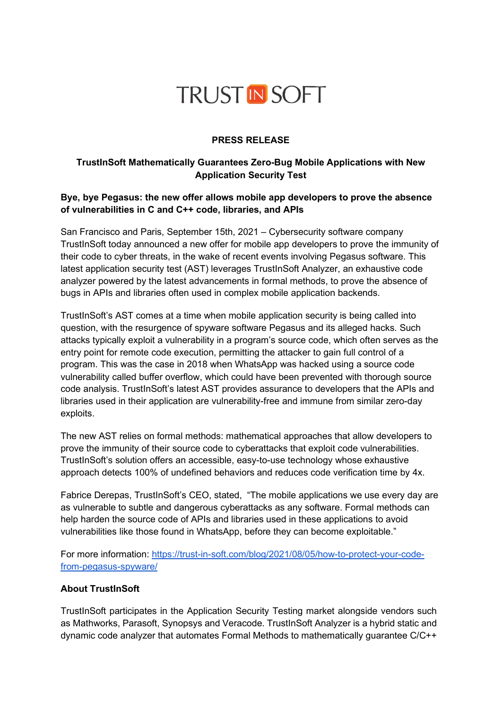

#### **PRESS RELEASE**

# **TrustInSoft Mathematically Guarantees Zero-Bug Mobile Applications with New Application Security Test**

## **Bye, bye Pegasus: the new offer allows mobile app developers to prove the absence of vulnerabilities in C and C++ code, libraries, and APIs**

San Francisco and Paris, September 15th, 2021 – Cybersecurity software company TrustInSoft today announced a new offer for mobile app developers to prove the immunity of their code to cyber threats, in the wake of recent events involving Pegasus software. This latest application security test (AST) leverages TrustInSoft Analyzer, an exhaustive code analyzer powered by the latest advancements in formal methods, to prove the absence of bugs in APIs and libraries often used in complex mobile application backends.

TrustInSoft's AST comes at a time when mobile application security is being called into question, with the resurgence of spyware software Pegasus and its alleged hacks. Such attacks typically exploit a vulnerability in a program's source code, which often serves as the entry point for remote code execution, permitting the attacker to gain full control of a program. This was the case in 2018 when WhatsApp was hacked using a source code vulnerability called buffer overflow, which could have been prevented with thorough source code analysis. TrustInSoft's latest AST provides assurance to developers that the APIs and libraries used in their application are vulnerability-free and immune from similar zero-day exploits.

The new AST relies on formal methods: mathematical approaches that allow developers to prove the immunity of their source code to cyberattacks that exploit code vulnerabilities. TrustInSoft's solution offers an accessible, easy-to-use technology whose exhaustive approach detects 100% of undefined behaviors and reduces code verification time by 4x.

Fabrice Derepas, TrustInSoft's CEO, stated, "The mobile applications we use every day are as vulnerable to subtle and dangerous cyberattacks as any software. Formal methods can help harden the source code of APIs and libraries used in these applications to avoid vulnerabilities like those found in WhatsApp, before they can become exploitable."

For more information: [https://trust-in-soft.com/blog/2021/08/05/how-to-protect-your-code](https://trust-in-soft.com/blog/2021/08/05/how-to-protect-your-code-from-pegasus-spyware/)[from-pegasus-spyware/](https://trust-in-soft.com/blog/2021/08/05/how-to-protect-your-code-from-pegasus-spyware/)

#### **About TrustInSoft**

TrustInSoft participates in the Application Security Testing market alongside vendors such as Mathworks, Parasoft, Synopsys and Veracode. TrustInSoft Analyzer is a hybrid static and dynamic code analyzer that automates Formal Methods to mathematically guarantee C/C++